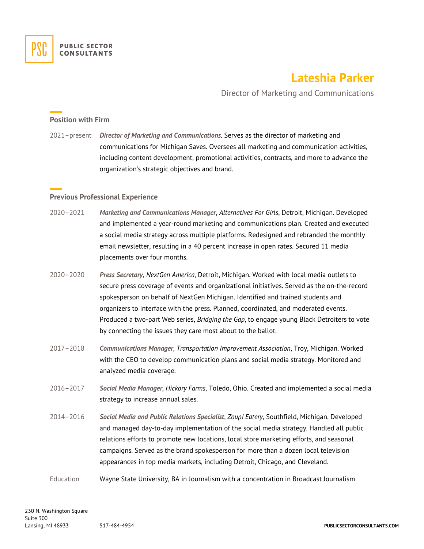## **Lateshia Parker**

Director of Marketing and Communications

## **Position with Firm**

2021–present *Director of Marketing and Communications*. Serves as the director of marketing and communications for Michigan Saves. Oversees all marketing and communication activities, including content development, promotional activities, contracts, and more to advance the organization's strategic objectives and brand.

## **Previous Professional Experience**

- 2020–2021 *Marketing and Communications Manager*, *Alternatives For Girls*, Detroit, Michigan. Developed and implemented a year-round marketing and communications plan. Created and executed a social media strategy across multiple platforms. Redesigned and rebranded the monthly email newsletter, resulting in a 40 percent increase in open rates. Secured 11 media placements over four months.
- 2020–2020 *Press Secretary*, *NextGen America*, Detroit, Michigan. Worked with local media outlets to secure press coverage of events and organizational initiatives. Served as the on-the-record spokesperson on behalf of NextGen Michigan. Identified and trained students and organizers to interface with the press. Planned, coordinated, and moderated events. Produced a two-part Web series, *Bridging the Gap*, to engage young Black Detroiters to vote by connecting the issues they care most about to the ballot.
- 2017–2018 *Communications Manager*, *Transportation Improvement Association*, Troy, Michigan. Worked with the CEO to develop communication plans and social media strategy. Monitored and analyzed media coverage.
- 2016–2017 *Social Media Manager*, *Hickory Farms*, Toledo, Ohio. Created and implemented a social media strategy to increase annual sales.
- 2014–2016 *Social Media and Public Relations Specialist*, *Zoup! Eatery*, Southfield, Michigan. Developed and managed day-to-day implementation of the social media strategy. Handled all public relations efforts to promote new locations, local store marketing efforts, and seasonal campaigns. Served as the brand spokesperson for more than a dozen local television appearances in top media markets, including Detroit, Chicago, and Cleveland.
- Education Wayne State University, BA in Journalism with a concentration in Broadcast Journalism